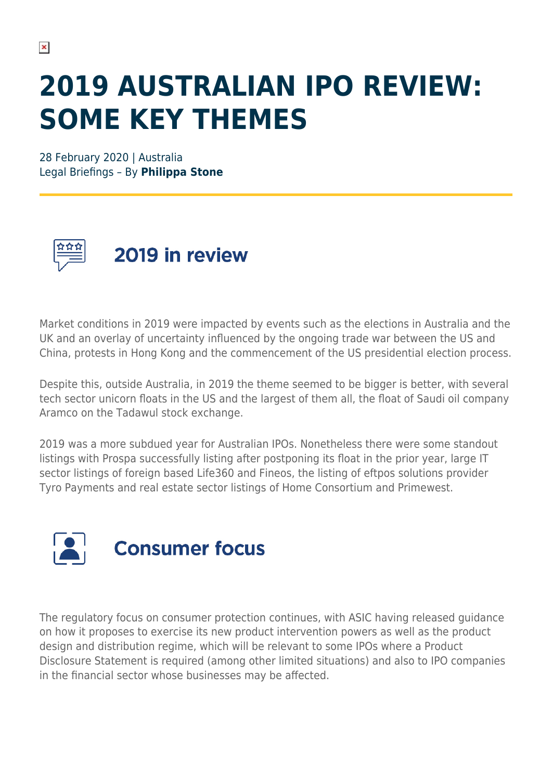## **2019 AUSTRALIAN IPO REVIEW: SOME KEY THEMES**

28 February 2020 | Australia Legal Briefings – By **Philippa Stone**



2019 in review

Market conditions in 2019 were impacted by events such as the elections in Australia and the UK and an overlay of uncertainty influenced by the ongoing trade war between the US and China, protests in Hong Kong and the commencement of the US presidential election process.

Despite this, outside Australia, in 2019 the theme seemed to be bigger is better, with several tech sector unicorn floats in the US and the largest of them all, the float of Saudi oil company Aramco on the Tadawul stock exchange.

2019 was a more subdued year for Australian IPOs. Nonetheless there were some standout listings with Prospa successfully listing after postponing its float in the prior year, large IT sector listings of foreign based Life360 and Fineos, the listing of eftpos solutions provider Tyro Payments and real estate sector listings of Home Consortium and Primewest.



The regulatory focus on consumer protection continues, with ASIC having released guidance on how it proposes to exercise its new product intervention powers as well as the product design and distribution regime, which will be relevant to some IPOs where a Product Disclosure Statement is required (among other limited situations) and also to IPO companies in the financial sector whose businesses may be affected.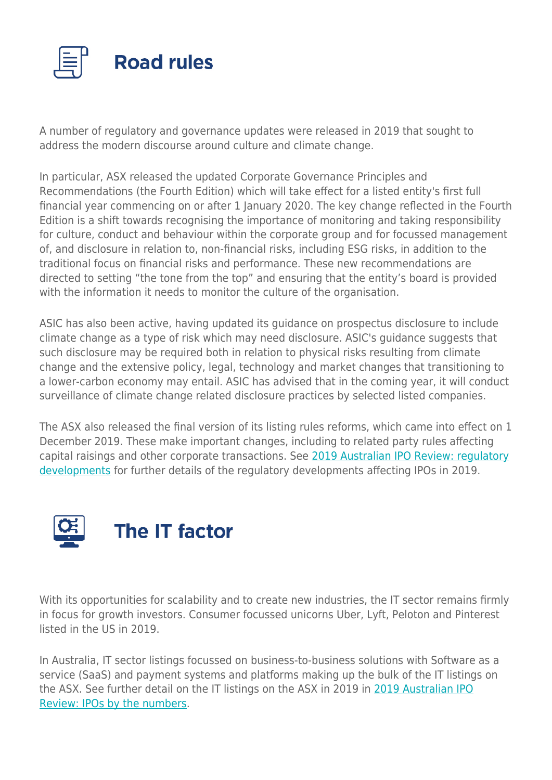

A number of regulatory and governance updates were released in 2019 that sought to address the modern discourse around culture and climate change.

In particular, ASX released the updated Corporate Governance Principles and Recommendations (the Fourth Edition) which will take effect for a listed entity's first full financial year commencing on or after 1 January 2020. The key change reflected in the Fourth Edition is a shift towards recognising the importance of monitoring and taking responsibility for culture, conduct and behaviour within the corporate group and for focussed management of, and disclosure in relation to, non-financial risks, including ESG risks, in addition to the traditional focus on financial risks and performance. These new recommendations are directed to setting "the tone from the top" and ensuring that the entity's board is provided with the information it needs to monitor the culture of the organisation.

ASIC has also been active, having updated its guidance on prospectus disclosure to include climate change as a type of risk which may need disclosure. ASIC's guidance suggests that such disclosure may be required both in relation to physical risks resulting from climate change and the extensive policy, legal, technology and market changes that transitioning to a lower-carbon economy may entail. ASIC has advised that in the coming year, it will conduct surveillance of climate change related disclosure practices by selected listed companies.

The ASX also released the final version of its listing rules reforms, which came into effect on 1 December 2019. These make important changes, including to related party rules affecting capital raisings and other corporate transactions. See [2019 Australian IPO Review: regulatory](https://www.herbertsmithfreehills.com/latest-thinking/2019-australian-ipo-review-regulatory-developments) [developments](https://www.herbertsmithfreehills.com/latest-thinking/2019-australian-ipo-review-regulatory-developments) for further details of the regulatory developments affecting IPOs in 2019.



With its opportunities for scalability and to create new industries, the IT sector remains firmly in focus for growth investors. Consumer focussed unicorns Uber, Lyft, Peloton and Pinterest listed in the US in 2019.

In Australia, IT sector listings focussed on business-to-business solutions with Software as a service (SaaS) and payment systems and platforms making up the bulk of the IT listings on the ASX. See further detail on the IT listings on the ASX in 2019 in [2019 Australian IPO](https://www.herbertsmithfreehills.com/latest-thinking/2019-australian-ipo-review-ipos-by-the-numbers) [Review: IPOs by the numbers](https://www.herbertsmithfreehills.com/latest-thinking/2019-australian-ipo-review-ipos-by-the-numbers).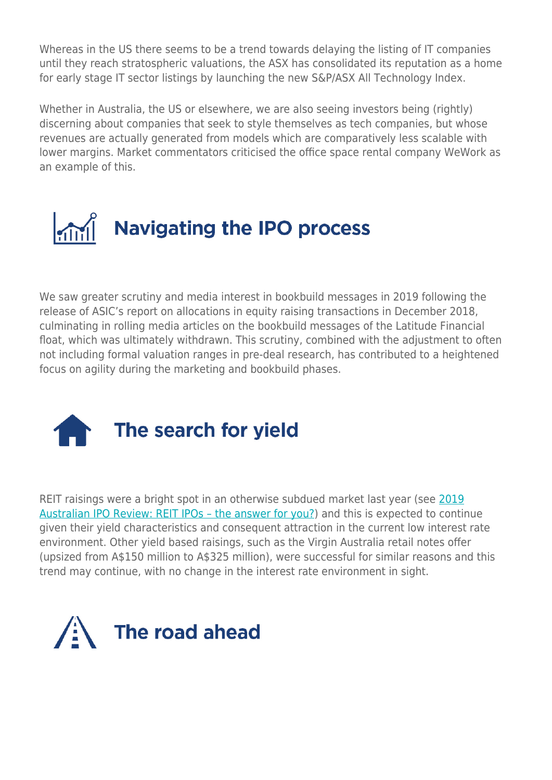Whereas in the US there seems to be a trend towards delaying the listing of IT companies until they reach stratospheric valuations, the ASX has consolidated its reputation as a home for early stage IT sector listings by launching the new S&P/ASX All Technology Index.

Whether in Australia, the US or elsewhere, we are also seeing investors being (rightly) discerning about companies that seek to style themselves as tech companies, but whose revenues are actually generated from models which are comparatively less scalable with lower margins. Market commentators criticised the office space rental company WeWork as an example of this.



We saw greater scrutiny and media interest in bookbuild messages in 2019 following the release of ASIC's report on allocations in equity raising transactions in December 2018, culminating in rolling media articles on the bookbuild messages of the Latitude Financial float, which was ultimately withdrawn. This scrutiny, combined with the adjustment to often not including formal valuation ranges in pre-deal research, has contributed to a heightened focus on agility during the marketing and bookbuild phases.



REIT raisings were a bright spot in an otherwise subdued market last year (see [2019](https://www.herbertsmithfreehills.com/latest-thinking/2019-australian-ipo-review-reit-ipos-the-answer-for-you) [Australian IPO Review: REIT IPOs – the answer for you?](https://www.herbertsmithfreehills.com/latest-thinking/2019-australian-ipo-review-reit-ipos-the-answer-for-you)) and this is expected to continue given their yield characteristics and consequent attraction in the current low interest rate environment. Other yield based raisings, such as the Virgin Australia retail notes offer (upsized from A\$150 million to A\$325 million), were successful for similar reasons and this trend may continue, with no change in the interest rate environment in sight.

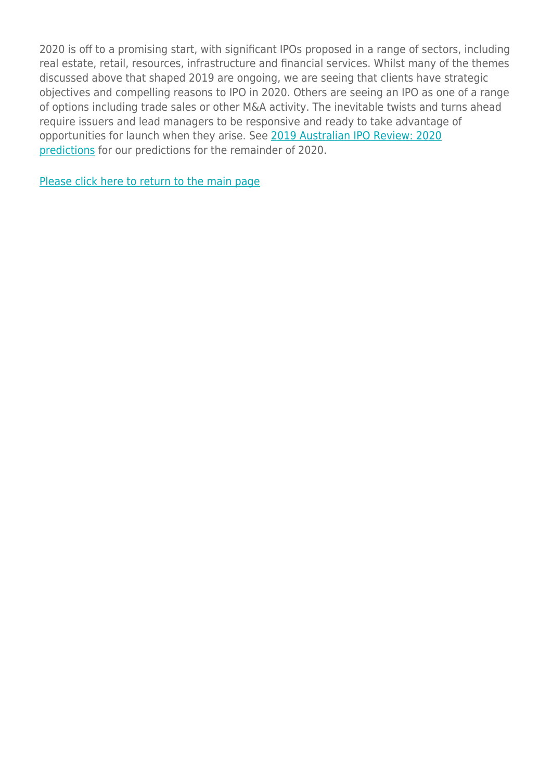2020 is off to a promising start, with significant IPOs proposed in a range of sectors, including real estate, retail, resources, infrastructure and financial services. Whilst many of the themes discussed above that shaped 2019 are ongoing, we are seeing that clients have strategic objectives and compelling reasons to IPO in 2020. Others are seeing an IPO as one of a range of options including trade sales or other M&A activity. The inevitable twists and turns ahead require issuers and lead managers to be responsive and ready to take advantage of opportunities for launch when they arise. See [2019 Australian IPO Review: 2020](https://www.herbertsmithfreehills.com/latest-thinking/2019-australian-ipo-review-2020-predictions) [predictions](https://www.herbertsmithfreehills.com/latest-thinking/2019-australian-ipo-review-2020-predictions) for our predictions for the remainder of 2020.

[Please click here to return to the main page](https://www.herbertsmithfreehills.com/latest-thinking/the-road-ahead-the-2019-australian-ipo-review)